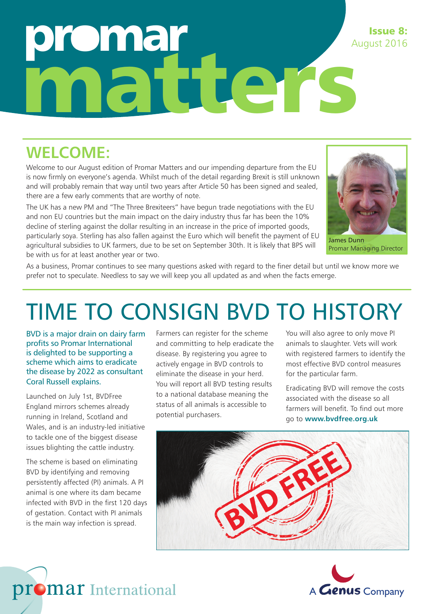# omar matters August 2016

#### **WELCOME:**

Welcome to our August edition of Promar Matters and our impending departure from the EU is now firmly on everyone's agenda. Whilst much of the detail regarding Brexit is still unknown and will probably remain that way until two years after Article 50 has been signed and sealed, there are a few early comments that are worthy of note.

The UK has a new PM and "The Three Brexiteers" have begun trade negotiations with the EU and non EU countries but the main impact on the dairy industry thus far has been the 10% decline of sterling against the dollar resulting in an increase in the price of imported goods, particularly soya. Sterling has also fallen against the Euro which will benefit the payment of EU agricultural subsidies to UK farmers, due to be set on September 30th. It is likely that BPS will be with us for at least another year or two.



Issue 8:

James Dunn Promar Managing Director

As a business, Promar continues to see many questions asked with regard to the finer detail but until we know more we prefer not to speculate. Needless to say we will keep you all updated as and when the facts emerge.

## TIME TO CONSIGN BVD TO HISTORY

BVD is a major drain on dairy farm profits so Promar International is delighted to be supporting a scheme which aims to eradicate the disease by 2022 as consultant Coral Russell explains.

Launched on July 1st, BVDFree England mirrors schemes already running in Ireland, Scotland and Wales, and is an industry-led initiative to tackle one of the biggest disease issues blighting the cattle industry.

The scheme is based on eliminating BVD by identifying and removing persistently affected (PI) animals. A PI animal is one where its dam became infected with BVD in the first 120 days of gestation. Contact with PI animals is the main way infection is spread.

Farmers can register for the scheme and committing to help eradicate the disease. By registering you agree to actively engage in BVD controls to eliminate the disease in your herd. You will report all BVD testing results to a national database meaning the status of all animals is accessible to potential purchasers.

You will also agree to only move PI animals to slaughter. Vets will work with registered farmers to identify the most effective BVD control measures for the particular farm.

Eradicating BVD will remove the costs associated with the disease so all farmers will benefit. To find out more go to **www.bvdfree.org.uk**